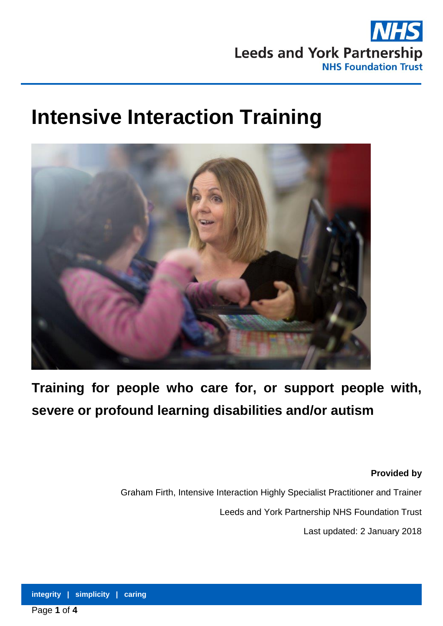

# **Intensive Interaction Training**



**Training for people who care for, or support people with, severe or profound learning disabilities and/or autism**

**Provided by** 

Graham Firth, Intensive Interaction Highly Specialist Practitioner and Trainer

Leeds and York Partnership NHS Foundation Trust

Last updated: 2 January 2018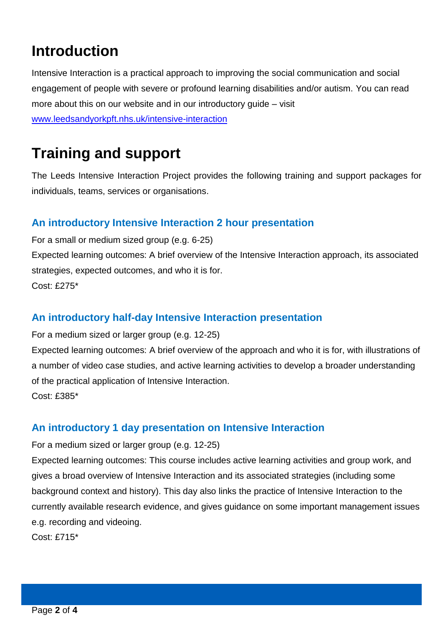## **Introduction**

Intensive Interaction is a practical approach to improving the social communication and social engagement of people with severe or profound learning disabilities and/or autism. You can read more about this on our website and in our introductory guide – visit [www.leedsandyorkpft.nhs.uk/intensive-interaction](http://www.leedsandyorkpft.nhs.uk/intensive-interaction)

### **Training and support**

The Leeds Intensive Interaction Project provides the following training and support packages for individuals, teams, services or organisations.

#### **An introductory Intensive Interaction 2 hour presentation**

For a small or medium sized group (e.g. 6-25) Expected learning outcomes: A brief overview of the Intensive Interaction approach, its associated strategies, expected outcomes, and who it is for. Cost: £275\*

### **An introductory half-day Intensive Interaction presentation**

For a medium sized or larger group (e.g. 12-25)

Expected learning outcomes: A brief overview of the approach and who it is for, with illustrations of a number of video case studies, and active learning activities to develop a broader understanding of the practical application of Intensive Interaction. Cost: £385\*

#### **An introductory 1 day presentation on Intensive Interaction**

For a medium sized or larger group (e.g. 12-25)

Expected learning outcomes: This course includes active learning activities and group work, and gives a broad overview of Intensive Interaction and its associated strategies (including some background context and history). This day also links the practice of Intensive Interaction to the currently available research evidence, and gives guidance on some important management issues e.g. recording and videoing.

Cost: £715\*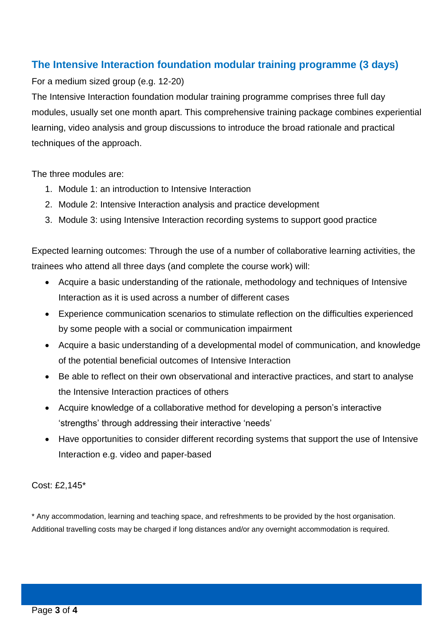#### **The Intensive Interaction foundation modular training programme (3 days)**

For a medium sized group (e.g. 12-20)

The Intensive Interaction foundation modular training programme comprises three full day modules, usually set one month apart. This comprehensive training package combines experiential learning, video analysis and group discussions to introduce the broad rationale and practical techniques of the approach.

The three modules are:

- 1. Module 1: an introduction to Intensive Interaction
- 2. Module 2: Intensive Interaction analysis and practice development
- 3. Module 3: using Intensive Interaction recording systems to support good practice

Expected learning outcomes: Through the use of a number of collaborative learning activities, the trainees who attend all three days (and complete the course work) will:

- Acquire a basic understanding of the rationale, methodology and techniques of Intensive Interaction as it is used across a number of different cases
- Experience communication scenarios to stimulate reflection on the difficulties experienced by some people with a social or communication impairment
- Acquire a basic understanding of a developmental model of communication, and knowledge of the potential beneficial outcomes of Intensive Interaction
- Be able to reflect on their own observational and interactive practices, and start to analyse the Intensive Interaction practices of others
- Acquire knowledge of a collaborative method for developing a person's interactive 'strengths' through addressing their interactive 'needs'
- Have opportunities to consider different recording systems that support the use of Intensive Interaction e.g. video and paper-based

Cost: £2,145\*

\* Any accommodation, learning and teaching space, and refreshments to be provided by the host organisation. Additional travelling costs may be charged if long distances and/or any overnight accommodation is required.